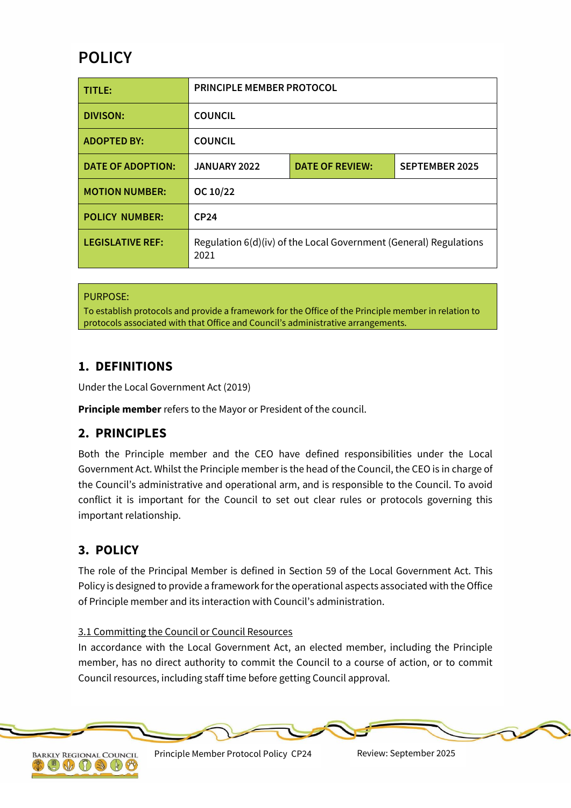# **POLICY**

| TITLE:                   | PRINCIPLE MEMBER PROTOCOL                                                 |                        |                       |
|--------------------------|---------------------------------------------------------------------------|------------------------|-----------------------|
| <b>DIVISON:</b>          | <b>COUNCIL</b>                                                            |                        |                       |
| <b>ADOPTED BY:</b>       | <b>COUNCIL</b>                                                            |                        |                       |
| <b>DATE OF ADOPTION:</b> | JANUARY 2022                                                              | <b>DATE OF REVIEW:</b> | <b>SEPTEMBER 2025</b> |
| <b>MOTION NUMBER:</b>    | OC 10/22                                                                  |                        |                       |
| <b>POLICY NUMBER:</b>    | CP <sub>24</sub>                                                          |                        |                       |
| <b>LEGISLATIVE REF:</b>  | Regulation 6(d)(iv) of the Local Government (General) Regulations<br>2021 |                        |                       |

## PURPOSE:

To establish protocols and provide a framework for the Office of the Principle member in relation to protocols associated with that Office and Council's administrative arrangements.

# **1. DEFINITIONS**

Under the Local Government Act (2019)

**Principle member** refers to the Mayor or President of the council.

# **2. PRINCIPLES**

Both the Principle member and the CEO have defined responsibilities under the Local Government Act. Whilst the Principle member is the head of the Council, the CEO is in charge of the Council's administrative and operational arm, and is responsible to the Council. To avoid conflict it is important for the Council to set out clear rules or protocols governing this important relationship.

# **3. POLICY**

The role of the Principal Member is defined in Section 59 of the Local Government Act. This Policy is designed to provide a framework for the operational aspects associated with the Office of Principle member and its interaction with Council's administration.

#### 3.1 Committing the Council or Council Resources

In accordance with the Local Government Act, an elected member, including the Principle member, has no direct authority to commit the Council to a course of action, or to commit Council resources, including staff time before getting Council approval.



Principle Member Protocol Policy CP24 Review: September 2025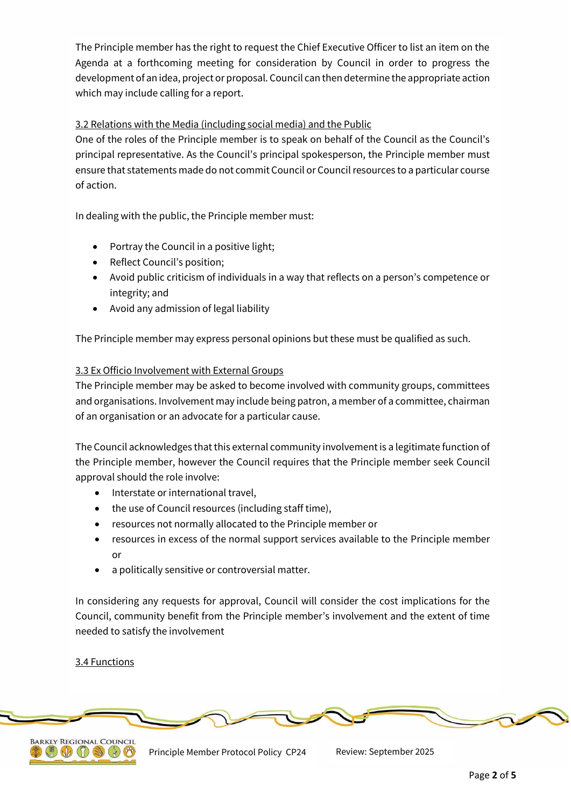The Principle member has the right to request the Chief Executive Officer to list an item on the Agenda at a forthcoming meeting for consideration by Council in order to progress the development of an idea, project or proposal. Council can then determine the appropriate action which may include calling for a report.

## 3.2 Relations with the Media (including social media) and the Public

One of the roles of the Principle member is to speak on behalf of the Council as the Council's principal representative. As the Council's principal spokesperson, the Principle member must ensure that statements made do not commit Council or Council resources to a particular course of action.

In dealing with the public, the Principle member must:

- Portray the Council in a positive light;
- Reflect Council's position;
- Avoid public criticism of individuals in a way that reflects on a person's competence or integrity; and
- Avoid any admission of legal liability

The Principle member may express personal opinions but these must be qualified as such.

## 3.3 Ex Officio Involvement with External Groups

The Principle member may be asked to become involved with community groups, committees and organisations. Involvement may include being patron, a member of a committee, chairman of an organisation or an advocate for a particular cause.

The Council acknowledges that this external community involvement is a legitimate function of the Principle member, however the Council requires that the Principle member seek Council approval should the role involve:

- Interstate or international travel,
- the use of Council resources (including staff time),
- resources not normally allocated to the Principle member or
- resources in excess of the normal support services available to the Principle member or
- a politically sensitive or controversial matter.

In considering any requests for approval, Council will consider the cost implications for the Council, community benefit from the Principle member's involvement and the extent of time needed to satisfy the involvement

## 3.4 Functions



Principle Member Protocol Policy CP24 Review: September 2025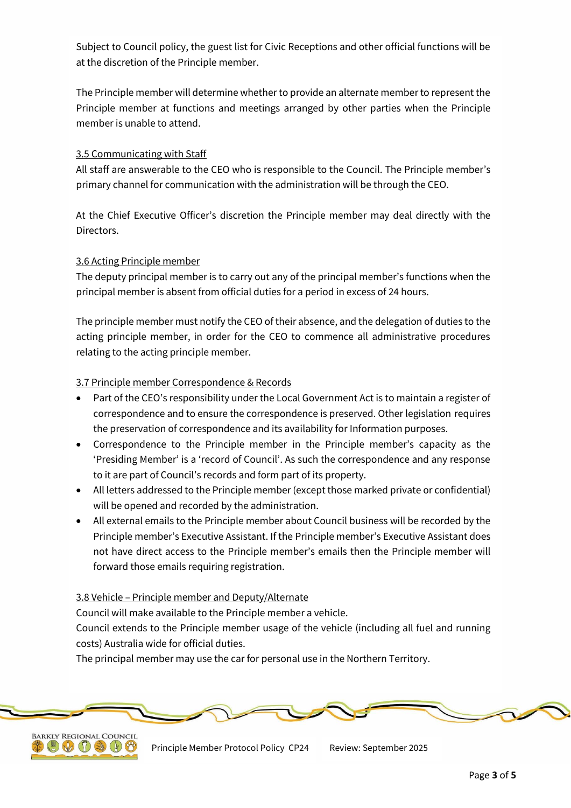Subject to Council policy, the guest list for Civic Receptions and other official functions will be at the discretion of the Principle member.

The Principle member will determine whether to provide an alternate member to represent the Principle member at functions and meetings arranged by other parties when the Principle member is unable to attend.

### 3.5 Communicating with Staff

All staff are answerable to the CEO who is responsible to the Council. The Principle member's primary channel for communication with the administration will be through the CEO.

At the Chief Executive Officer's discretion the Principle member may deal directly with the Directors.

#### 3.6 Acting Principle member

The deputy principal member is to carry out any of the principal member's functions when the principal member is absent from official duties for a period in excess of 24 hours.

The principle member must notify the CEO of their absence, and the delegation of duties to the acting principle member, in order for the CEO to commence all administrative procedures relating to the acting principle member.

#### 3.7 Principle member Correspondence & Records

- Part of the CEO's responsibility under the Local Government Act is to maintain a register of correspondence and to ensure the correspondence is preserved. Other legislation requires the preservation of correspondence and its availability for Information purposes.
- Correspondence to the Principle member in the Principle member's capacity as the 'Presiding Member' is a 'record of Council'. As such the correspondence and any response to it are part of Council's records and form part of its property.
- All letters addressed to the Principle member (except those marked private or confidential) will be opened and recorded by the administration.
- All external emails to the Principle member about Council business will be recorded by the Principle member's Executive Assistant. If the Principle member's Executive Assistant does not have direct access to the Principle member's emails then the Principle member will forward those emails requiring registration.

#### 3.8 Vehicle – Principle member and Deputy/Alternate

Council will make available to the Principle member a vehicle.

Council extends to the Principle member usage of the vehicle (including all fuel and running costs) Australia wide for official duties.

The principal member may use the car for personal use in the Northern Territory.